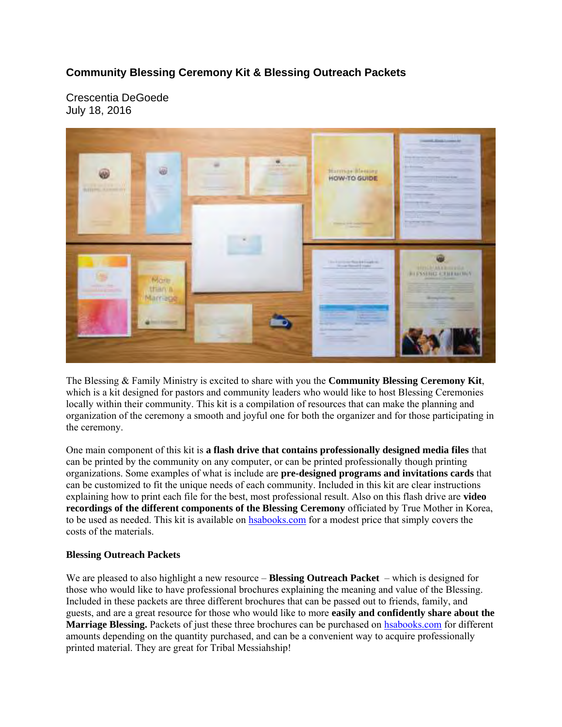## **Community Blessing Ceremony Kit & Blessing Outreach Packets**

Crescentia DeGoede July 18, 2016



The Blessing & Family Ministry is excited to share with you the **Community Blessing Ceremony Kit**, which is a kit designed for pastors and community leaders who would like to host Blessing Ceremonies locally within their community. This kit is a compilation of resources that can make the planning and organization of the ceremony a smooth and joyful one for both the organizer and for those participating in the ceremony.

One main component of this kit is **a flash drive that contains professionally designed media files** that can be printed by the community on any computer, or can be printed professionally though printing organizations. Some examples of what is include are **pre-designed programs and invitations cards** that can be customized to fit the unique needs of each community. Included in this kit are clear instructions explaining how to print each file for the best, most professional result. Also on this flash drive are **video recordings of the different components of the Blessing Ceremony** officiated by True Mother in Korea, to be used as needed. This kit is available on hsabooks.com for a modest price that simply covers the costs of the materials.

## **Blessing Outreach Packets**

We are pleased to also highlight a new resource – **Blessing Outreach Packet** – which is designed for those who would like to have professional brochures explaining the meaning and value of the Blessing. Included in these packets are three different brochures that can be passed out to friends, family, and guests, and are a great resource for those who would like to more **easily and confidently share about the Marriage Blessing.** Packets of just these three brochures can be purchased on hsabooks.com for different amounts depending on the quantity purchased, and can be a convenient way to acquire professionally printed material. They are great for Tribal Messiahship!